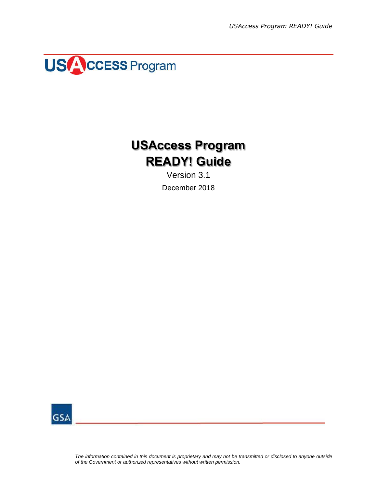

## **USAccess Program READY! Guide**

Version 3.1 December 2018



*The information contained in this document is proprietary and may not be transmitted or disclosed to anyone outside of the Government or authorized representatives without written permission.*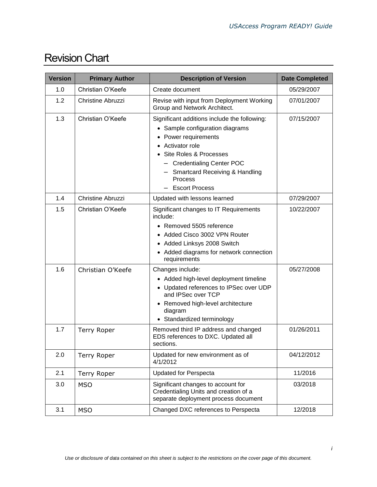| <b>Revision Chart</b> |
|-----------------------|
|-----------------------|

| <b>Version</b> | <b>Primary Author</b>    | <b>Description of Version</b>                                                                                                                                                                                                                                    | <b>Date Completed</b> |
|----------------|--------------------------|------------------------------------------------------------------------------------------------------------------------------------------------------------------------------------------------------------------------------------------------------------------|-----------------------|
| 1.0            | Christian O'Keefe        | Create document                                                                                                                                                                                                                                                  | 05/29/2007            |
| 1.2            | Christine Abruzzi        | Revise with input from Deployment Working<br>Group and Network Architect.                                                                                                                                                                                        | 07/01/2007            |
| 1.3            | Christian O'Keefe        | Significant additions include the following:<br>• Sample configuration diagrams<br>Power requirements<br>Activator role<br>Site Roles & Processes<br>- Credentialing Center POC<br><b>Smartcard Receiving &amp; Handling</b><br>Process<br><b>Escort Process</b> | 07/15/2007            |
| 1.4            | <b>Christine Abruzzi</b> | Updated with lessons learned                                                                                                                                                                                                                                     | 07/29/2007            |
| 1.5            | Christian O'Keefe        | Significant changes to IT Requirements<br>include:<br>• Removed 5505 reference<br>Added Cisco 3002 VPN Router<br>٠<br>• Added Linksys 2008 Switch<br>Added diagrams for network connection<br>requirements                                                       | 10/22/2007            |
| 1.6            | Christian O'Keefe        | Changes include:<br>• Added high-level deployment timeline<br>• Updated references to IPSec over UDP<br>and IPSec over TCP<br>• Removed high-level architecture<br>diagram<br>Standardized terminology                                                           | 05/27/2008            |
| 1.7            | <b>Terry Roper</b>       | Removed third IP address and changed<br>EDS references to DXC. Updated all<br>sections.                                                                                                                                                                          | 01/26/2011            |
| 2.0            | <b>Terry Roper</b>       | Updated for new environment as of<br>4/1/2012                                                                                                                                                                                                                    | 04/12/2012            |
| 2.1            | <b>Terry Roper</b>       | <b>Updated for Perspecta</b>                                                                                                                                                                                                                                     | 11/2016               |
| 3.0            | <b>MSO</b>               | Significant changes to account for<br>Credentialing Units and creation of a<br>separate deployment process document                                                                                                                                              | 03/2018               |
| 3.1            | <b>MSO</b>               | Changed DXC references to Perspecta                                                                                                                                                                                                                              | 12/2018               |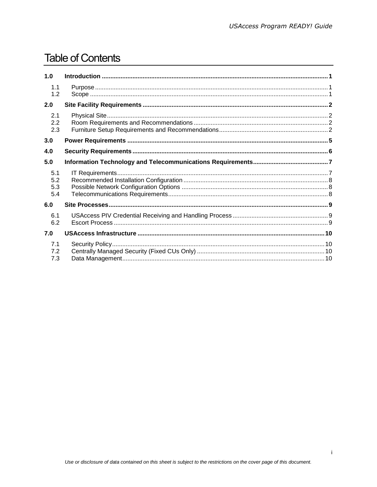### **Table of Contents**

| 1.0                      |  |
|--------------------------|--|
| 1.1<br>1.2               |  |
| 2.0                      |  |
| 2.1<br>2.2<br>2.3        |  |
| 3.0                      |  |
| 4.0                      |  |
| 5.0                      |  |
| 5.1<br>5.2<br>5.3<br>5.4 |  |
| 6.0                      |  |
| 6.1<br>6.2               |  |
| 7.0                      |  |
| 7.1<br>7.2<br>7.3        |  |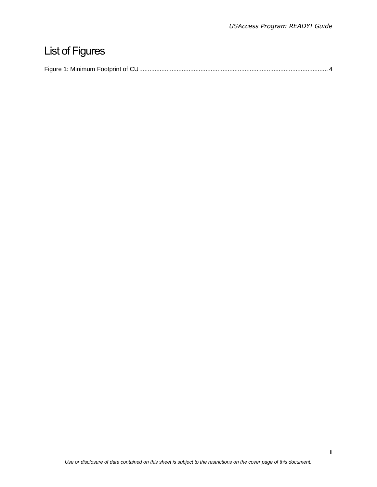# List of Figures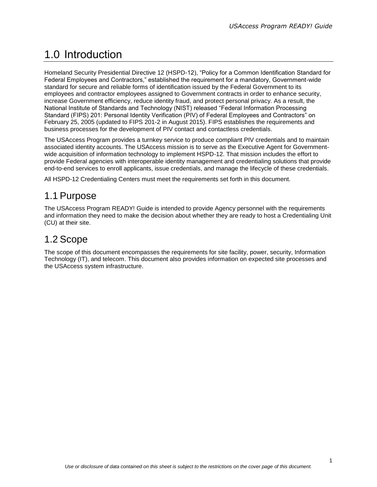## <span id="page-4-0"></span>1.0 Introduction

Homeland Security Presidential Directive 12 (HSPD-12), "Policy for a Common Identification Standard for Federal Employees and Contractors," established the requirement for a mandatory, Government-wide standard for secure and reliable forms of identification issued by the Federal Government to its employees and contractor employees assigned to Government contracts in order to enhance security, increase Government efficiency, reduce identity fraud, and protect personal privacy. As a result, the National Institute of Standards and Technology (NIST) released "Federal Information Processing Standard (FIPS) 201: Personal Identity Verification (PIV) of Federal Employees and Contractors" on February 25, 2005 (updated to FIPS 201-2 in August 2015). FIPS establishes the requirements and business processes for the development of PIV contact and contactless credentials.

The USAccess Program provides a turnkey service to produce compliant PIV credentials and to maintain associated identity accounts. The USAccess mission is to serve as the Executive Agent for Governmentwide acquisition of information technology to implement HSPD-12. That mission includes the effort to provide Federal agencies with interoperable identity management and credentialing solutions that provide end-to-end services to enroll applicants, issue credentials, and manage the lifecycle of these credentials.

All HSPD-12 Credentialing Centers must meet the requirements set forth in this document.

#### <span id="page-4-1"></span>1.1 Purpose

The USAccess Program READY! Guide is intended to provide Agency personnel with the requirements and information they need to make the decision about whether they are ready to host a Credentialing Unit (CU) at their site.

#### <span id="page-4-2"></span>1.2 Scope

The scope of this document encompasses the requirements for site facility, power, security, Information Technology (IT), and telecom. This document also provides information on expected site processes and the USAccess system infrastructure.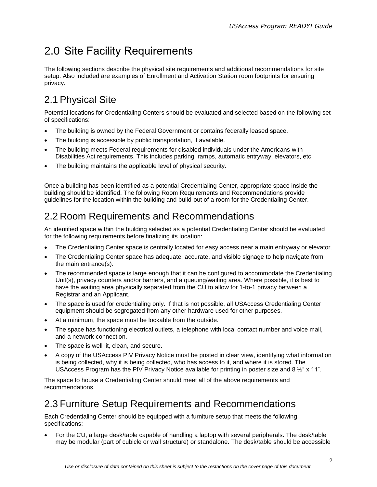## <span id="page-5-0"></span>2.0 Site Facility Requirements

The following sections describe the physical site requirements and additional recommendations for site setup. Also included are examples of Enrollment and Activation Station room footprints for ensuring privacy.

### <span id="page-5-1"></span>2.1 Physical Site

Potential locations for Credentialing Centers should be evaluated and selected based on the following set of specifications:

- The building is owned by the Federal Government or contains federally leased space.
- The building is accessible by public transportation, if available.
- The building meets Federal requirements for disabled individuals under the Americans with Disabilities Act requirements. This includes parking, ramps, automatic entryway, elevators, etc.
- The building maintains the applicable level of physical security.

Once a building has been identified as a potential Credentialing Center, appropriate space inside the building should be identified. The following Room Requirements and Recommendations provide guidelines for the location within the building and build-out of a room for the Credentialing Center.

### <span id="page-5-2"></span>2.2 Room Requirements and Recommendations

An identified space within the building selected as a potential Credentialing Center should be evaluated for the following requirements before finalizing its location:

- The Credentialing Center space is centrally located for easy access near a main entryway or elevator.
- The Credentialing Center space has adequate, accurate, and visible signage to help navigate from the main entrance(s).
- The recommended space is large enough that it can be configured to accommodate the Credentialing Unit(s), privacy counters and/or barriers, and a queuing/waiting area. Where possible, it is best to have the waiting area physically separated from the CU to allow for 1-to-1 privacy between a Registrar and an Applicant.
- The space is used for credentialing only. If that is not possible, all USAccess Credentialing Center equipment should be segregated from any other hardware used for other purposes.
- At a minimum, the space must be lockable from the outside.
- The space has functioning electrical outlets, a telephone with local contact number and voice mail, and a network connection.
- The space is well lit, clean, and secure.
- A copy of the USAccess PIV Privacy Notice must be posted in clear view, identifying what information is being collected, why it is being collected, who has access to it, and where it is stored. The USAccess Program has the PIV Privacy Notice available for printing in poster size and 8 ½" x 11".

The space to house a Credentialing Center should meet all of the above requirements and recommendations.

#### <span id="page-5-3"></span>2.3 Furniture Setup Requirements and Recommendations

Each Credentialing Center should be equipped with a furniture setup that meets the following specifications:

 For the CU, a large desk/table capable of handling a laptop with several peripherals. The desk/table may be modular (part of cubicle or wall structure) or standalone. The desk/table should be accessible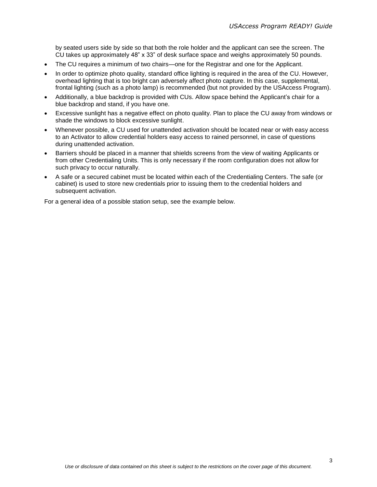by seated users side by side so that both the role holder and the applicant can see the screen. The CU takes up approximately 48" x 33" of desk surface space and weighs approximately 50 pounds.

- The CU requires a minimum of two chairs—one for the Registrar and one for the Applicant.
- In order to optimize photo quality, standard office lighting is required in the area of the CU. However, overhead lighting that is too bright can adversely affect photo capture. In this case, supplemental, frontal lighting (such as a photo lamp) is recommended (but not provided by the USAccess Program).
- Additionally, a blue backdrop is provided with CUs. Allow space behind the Applicant's chair for a blue backdrop and stand, if you have one.
- Excessive sunlight has a negative effect on photo quality. Plan to place the CU away from windows or shade the windows to block excessive sunlight.
- Whenever possible, a CU used for unattended activation should be located near or with easy access to an Activator to allow credential holders easy access to rained personnel, in case of questions during unattended activation.
- Barriers should be placed in a manner that shields screens from the view of waiting Applicants or from other Credentialing Units. This is only necessary if the room configuration does not allow for such privacy to occur naturally.
- A safe or a secured cabinet must be located within each of the Credentialing Centers. The safe (or cabinet) is used to store new credentials prior to issuing them to the credential holders and subsequent activation.

For a general idea of a possible station setup, see the example below.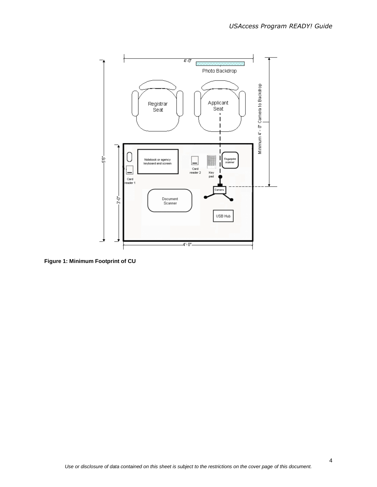

<span id="page-7-0"></span>**Figure 1: Minimum Footprint of CU**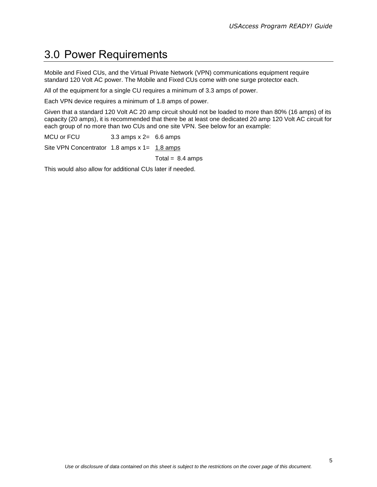### <span id="page-8-0"></span>3.0 Power Requirements

Mobile and Fixed CUs, and the Virtual Private Network (VPN) communications equipment require standard 120 Volt AC power. The Mobile and Fixed CUs come with one surge protector each.

All of the equipment for a single CU requires a minimum of 3.3 amps of power.

Each VPN device requires a minimum of 1.8 amps of power.

Given that a standard 120 Volt AC 20 amp circuit should not be loaded to more than 80% (16 amps) of its capacity (20 amps), it is recommended that there be at least one dedicated 20 amp 120 Volt AC circuit for each group of no more than two CUs and one site VPN. See below for an example:

MCU or FCU 3.3 amps x 2= 6.6 amps Site VPN Concentrator  $1.8$  amps x  $1 = 1.8$  amps Total =  $8.4$  amps

This would also allow for additional CUs later if needed.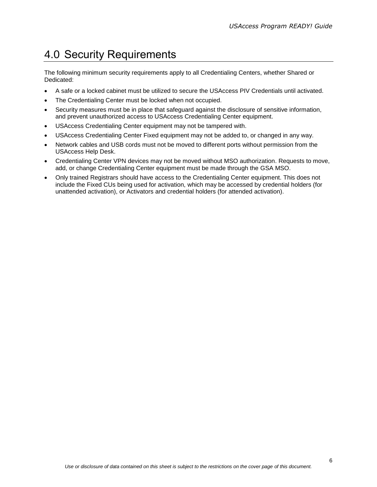### <span id="page-9-0"></span>4.0 Security Requirements

The following minimum security requirements apply to all Credentialing Centers, whether Shared or Dedicated:

- A safe or a locked cabinet must be utilized to secure the USAccess PIV Credentials until activated.
- The Credentialing Center must be locked when not occupied.
- Security measures must be in place that safeguard against the disclosure of sensitive information, and prevent unauthorized access to USAccess Credentialing Center equipment.
- USAccess Credentialing Center equipment may not be tampered with.
- USAccess Credentialing Center Fixed equipment may not be added to, or changed in any way.
- Network cables and USB cords must not be moved to different ports without permission from the USAccess Help Desk.
- Credentialing Center VPN devices may not be moved without MSO authorization. Requests to move, add, or change Credentialing Center equipment must be made through the GSA MSO.
- Only trained Registrars should have access to the Credentialing Center equipment. This does not include the Fixed CUs being used for activation, which may be accessed by credential holders (for unattended activation), or Activators and credential holders (for attended activation).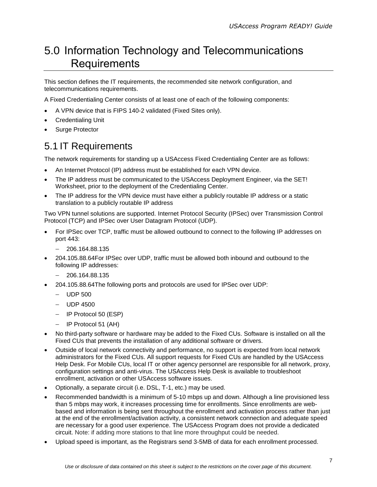### <span id="page-10-0"></span>5.0 Information Technology and Telecommunications **Requirements**

This section defines the IT requirements, the recommended site network configuration, and telecommunications requirements.

A Fixed Credentialing Center consists of at least one of each of the following components:

- A VPN device that is FIPS 140-2 validated (Fixed Sites only).
- Credentialing Unit
- Surge Protector

#### <span id="page-10-1"></span>5.1 IT Requirements

The network requirements for standing up a USAccess Fixed Credentialing Center are as follows:

- An Internet Protocol (IP) address must be established for each VPN device.
- The IP address must be communicated to the USAccess Deployment Engineer, via the SET! Worksheet, prior to the deployment of the Credentialing Center.
- The IP address for the VPN device must have either a publicly routable IP address or a static translation to a publicly routable IP address

Two VPN tunnel solutions are supported. Internet Protocol Security (IPSec) over Transmission Control Protocol (TCP) and IPSec over User Datagram Protocol (UDP).

- For IPSec over TCP, traffic must be allowed outbound to connect to the following IP addresses on port 443:
	- $-206.164.88.135$
- 204.105.88.64For IPSec over UDP, traffic must be allowed both inbound and outbound to the following IP addresses:
	- $-206.164.88.135$
- 204.105.88.64The following ports and protocols are used for IPSec over UDP:
	- $-$  UDP 500
	- $-$  UDP 4500
	- IP Protocol 50 (ESP)
	- IP Protocol 51 (AH)
- No third-party software or hardware may be added to the Fixed CUs. Software is installed on all the Fixed CUs that prevents the installation of any additional software or drivers.
- Outside of local network connectivity and performance, no support is expected from local network administrators for the Fixed CUs. All support requests for Fixed CUs are handled by the USAccess Help Desk. For Mobile CUs, local IT or other agency personnel are responsible for all network, proxy, configuration settings and anti-virus. The USAccess Help Desk is available to troubleshoot enrollment, activation or other USAccess software issues.
- Optionally, a separate circuit (i.e. DSL, T-1, etc.) may be used.
- Recommended bandwidth is a minimum of 5-10 mbps up and down. Although a line provisioned less than 5 mbps may work, it increases processing time for enrollments. Since enrollments are webbased and information is being sent throughout the enrollment and activation process rather than just at the end of the enrollment/activation activity, a consistent network connection and adequate speed are necessary for a good user experience. The USAccess Program does not provide a dedicated circuit. Note: if adding more stations to that line more throughput could be needed.
- Upload speed is important, as the Registrars send 3-5MB of data for each enrollment processed.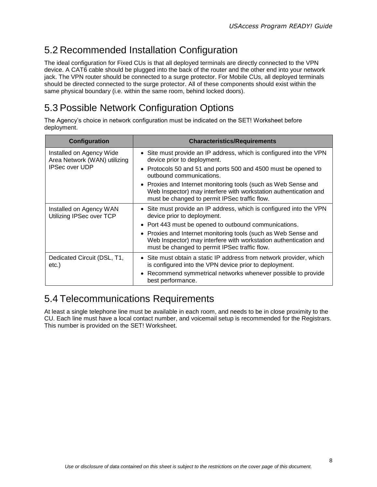#### <span id="page-11-0"></span>5.2 Recommended Installation Configuration

The ideal configuration for Fixed CUs is that all deployed terminals are directly connected to the VPN device. A CAT6 cable should be plugged into the back of the router and the other end into your network jack. The VPN router should be connected to a surge protector. For Mobile CUs, all deployed terminals should be directed connected to the surge protector. All of these components should exist within the same physical boundary (i.e. within the same room, behind locked doors).

#### <span id="page-11-1"></span>5.3 Possible Network Configuration Options

The Agency's choice in network configuration must be indicated on the SET! Worksheet before deployment.

| Configuration                                                              | <b>Characteristics/Requirements</b>                                                                                                                                                 |
|----------------------------------------------------------------------------|-------------------------------------------------------------------------------------------------------------------------------------------------------------------------------------|
| Installed on Agency Wide<br>Area Network (WAN) utilizing<br>IPSec over UDP | • Site must provide an IP address, which is configured into the VPN<br>device prior to deployment.                                                                                  |
|                                                                            | • Protocols 50 and 51 and ports 500 and 4500 must be opened to<br>outbound communications.                                                                                          |
|                                                                            | • Proxies and Internet monitoring tools (such as Web Sense and<br>Web Inspector) may interfere with workstation authentication and<br>must be changed to permit IPSec traffic flow. |
| Installed on Agency WAN<br>Utilizing IPSec over TCP                        | • Site must provide an IP address, which is configured into the VPN<br>device prior to deployment.                                                                                  |
|                                                                            | • Port 443 must be opened to outbound communications.                                                                                                                               |
|                                                                            | • Proxies and Internet monitoring tools (such as Web Sense and<br>Web Inspector) may interfere with workstation authentication and<br>must be changed to permit IPSec traffic flow. |
| Dedicated Circuit (DSL, T1,<br>etc.)                                       | • Site must obtain a static IP address from network provider, which<br>is configured into the VPN device prior to deployment.                                                       |
|                                                                            | • Recommend symmetrical networks whenever possible to provide<br>best performance.                                                                                                  |

#### <span id="page-11-2"></span>5.4 Telecommunications Requirements

At least a single telephone line must be available in each room, and needs to be in close proximity to the CU. Each line must have a local contact number, and voicemail setup is recommended for the Registrars. This number is provided on the SET! Worksheet.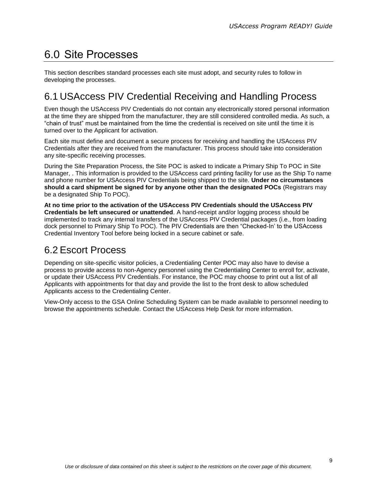### <span id="page-12-0"></span>6.0 Site Processes

This section describes standard processes each site must adopt, and security rules to follow in developing the processes.

#### <span id="page-12-1"></span>6.1 USAccess PIV Credential Receiving and Handling Process

Even though the USAccess PIV Credentials do not contain any electronically stored personal information at the time they are shipped from the manufacturer, they are still considered controlled media. As such, a "chain of trust" must be maintained from the time the credential is received on site until the time it is turned over to the Applicant for activation.

Each site must define and document a secure process for receiving and handling the USAccess PIV Credentials after they are received from the manufacturer. This process should take into consideration any site-specific receiving processes.

During the Site Preparation Process, the Site POC is asked to indicate a Primary Ship To POC in Site Manager, . This information is provided to the USAccess card printing facility for use as the Ship To name and phone number for USAccess PIV Credentials being shipped to the site. **Under no circumstances should a card shipment be signed for by anyone other than the designated POCs** (Registrars may be a designated Ship To POC).

**At no time prior to the activation of the USAccess PIV Credentials should the USAccess PIV Credentials be left unsecured or unattended**. A hand-receipt and/or logging process should be implemented to track any internal transfers of the USAccess PIV Credential packages (i.e., from loading dock personnel to Primary Ship To POC). The PIV Credentials are then "Checked-In' to the USAccess Credential Inventory Tool before being locked in a secure cabinet or safe.

#### <span id="page-12-2"></span>6.2 Escort Process

Depending on site-specific visitor policies, a Credentialing Center POC may also have to devise a process to provide access to non-Agency personnel using the Credentialing Center to enroll for, activate, or update their USAccess PIV Credentials. For instance, the POC may choose to print out a list of all Applicants with appointments for that day and provide the list to the front desk to allow scheduled Applicants access to the Credentialing Center.

View-Only access to the GSA Online Scheduling System can be made available to personnel needing to browse the appointments schedule. Contact the USAccess Help Desk for more information.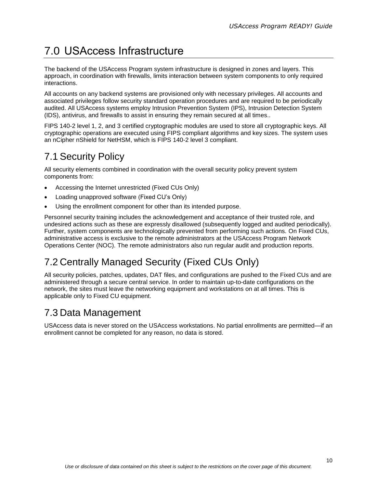### <span id="page-13-0"></span>7.0 USAccess Infrastructure

The backend of the USAccess Program system infrastructure is designed in zones and layers. This approach, in coordination with firewalls, limits interaction between system components to only required interactions.

All accounts on any backend systems are provisioned only with necessary privileges. All accounts and associated privileges follow security standard operation procedures and are required to be periodically audited. All USAccess systems employ Intrusion Prevention System (IPS), Intrusion Detection System (IDS), antivirus, and firewalls to assist in ensuring they remain secured at all times..

FIPS 140-2 level 1, 2, and 3 certified cryptographic modules are used to store all cryptographic keys. All cryptographic operations are executed using FIPS compliant algorithms and key sizes. The system uses an nCipher nShield for NetHSM, which is FIPS 140-2 level 3 compliant.

#### <span id="page-13-1"></span>7.1 Security Policy

All security elements combined in coordination with the overall security policy prevent system components from:

- Accessing the Internet unrestricted (Fixed CUs Only)
- Loading unapproved software (Fixed CU's Only)
- Using the enrollment component for other than its intended purpose.

Personnel security training includes the acknowledgement and acceptance of their trusted role, and undesired actions such as these are expressly disallowed (subsequently logged and audited periodically). Further, system components are technologically prevented from performing such actions. On Fixed CUs, administrative access is exclusive to the remote administrators at the USAccess Program Network Operations Center (NOC). The remote administrators also run regular audit and production reports.

### <span id="page-13-2"></span>7.2 Centrally Managed Security (Fixed CUs Only)

All security policies, patches, updates, DAT files, and configurations are pushed to the Fixed CUs and are administered through a secure central service. In order to maintain up-to-date configurations on the network, the sites must leave the networking equipment and workstations on at all times. This is applicable only to Fixed CU equipment.

#### <span id="page-13-3"></span>7.3 Data Management

USAccess data is never stored on the USAccess workstations. No partial enrollments are permitted—if an enrollment cannot be completed for any reason, no data is stored.